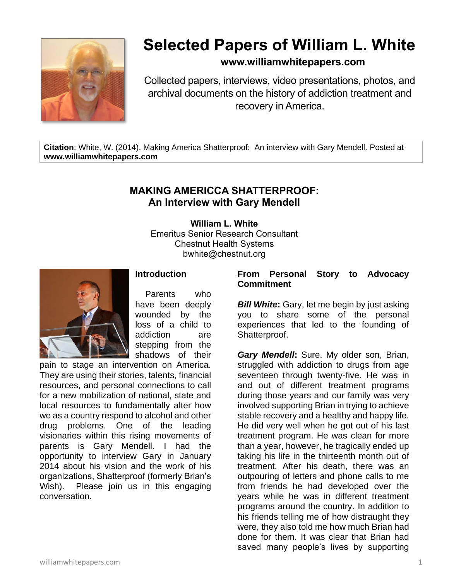

# **Selected Papers of William L. White**

## **www.williamwhitepapers.com**

Collected papers, interviews, video presentations, photos, and archival documents on the history of addiction treatment and recovery in America.

**Citation**: White, W. (2014). Making America Shatterproof: An interview with Gary Mendell. Posted at **www.williamwhitepapers.com**

## **MAKING AMERICCA SHATTERPROOF: An Interview with Gary Mendell**

**William L. White** Emeritus Senior Research Consultant Chestnut Health Systems bwhite@chestnut.org



### **Introduction**

Parents who have been deeply wounded by the loss of a child to addiction are stepping from the shadows of their

pain to stage an intervention on America. They are using their stories, talents, financial resources, and personal connections to call for a new mobilization of national, state and local resources to fundamentally alter how we as a country respond to alcohol and other drug problems. One of the leading visionaries within this rising movements of parents is Gary Mendell. I had the opportunity to interview Gary in January 2014 about his vision and the work of his organizations, Shatterproof (formerly Brian's Wish). Please join us in this engaging conversation.

#### **From Personal Story to Advocacy Commitment**

*Bill White:* Gary, let me begin by just asking you to share some of the personal experiences that led to the founding of Shatterproof.

*Gary Mendell***:** Sure. My older son, Brian, struggled with addiction to drugs from age seventeen through twenty-five. He was in and out of different treatment programs during those years and our family was very involved supporting Brian in trying to achieve stable recovery and a healthy and happy life. He did very well when he got out of his last treatment program. He was clean for more than a year, however, he tragically ended up taking his life in the thirteenth month out of treatment. After his death, there was an outpouring of letters and phone calls to me from friends he had developed over the years while he was in different treatment programs around the country. In addition to his friends telling me of how distraught they were, they also told me how much Brian had done for them. It was clear that Brian had saved many people's lives by supporting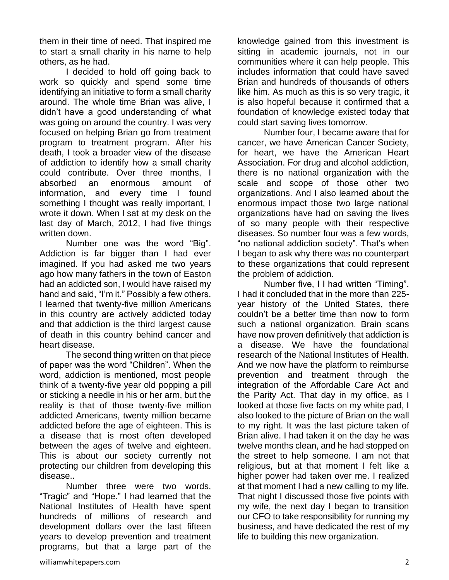them in their time of need. That inspired me to start a small charity in his name to help others, as he had.

I decided to hold off going back to work so quickly and spend some time identifying an initiative to form a small charity around. The whole time Brian was alive, I didn't have a good understanding of what was going on around the country. I was very focused on helping Brian go from treatment program to treatment program. After his death, I took a broader view of the disease of addiction to identify how a small charity could contribute. Over three months, I absorbed an enormous amount of information, and every time I found something I thought was really important, I wrote it down. When I sat at my desk on the last day of March, 2012, I had five things written down.

Number one was the word "Big". Addiction is far bigger than I had ever imagined. If you had asked me two years ago how many fathers in the town of Easton had an addicted son, I would have raised my hand and said, "I'm it." Possibly a few others. I learned that twenty-five million Americans in this country are actively addicted today and that addiction is the third largest cause of death in this country behind cancer and heart disease.

The second thing written on that piece of paper was the word "Children". When the word, addiction is mentioned, most people think of a twenty-five year old popping a pill or sticking a needle in his or her arm, but the reality is that of those twenty-five million addicted Americans, twenty million became addicted before the age of eighteen. This is a disease that is most often developed between the ages of twelve and eighteen. This is about our society currently not protecting our children from developing this disease..

Number three were two words, "Tragic" and "Hope." I had learned that the National Institutes of Health have spent hundreds of millions of research and development dollars over the last fifteen years to develop prevention and treatment programs, but that a large part of the

knowledge gained from this investment is sitting in academic journals, not in our communities where it can help people. This includes information that could have saved Brian and hundreds of thousands of others like him. As much as this is so very tragic, it is also hopeful because it confirmed that a foundation of knowledge existed today that could start saving lives tomorrow.

Number four, I became aware that for cancer, we have American Cancer Society, for heart, we have the American Heart Association. For drug and alcohol addiction, there is no national organization with the scale and scope of those other two organizations. And I also learned about the enormous impact those two large national organizations have had on saving the lives of so many people with their respective diseases. So number four was a few words, "no national addiction society". That's when I began to ask why there was no counterpart to these organizations that could represent the problem of addiction.

Number five, I I had written "Timing". I had it concluded that in the more than 225 year history of the United States, there couldn't be a better time than now to form such a national organization. Brain scans have now proven definitively that addiction is a disease. We have the foundational research of the National Institutes of Health. And we now have the platform to reimburse prevention and treatment through the integration of the Affordable Care Act and the Parity Act. That day in my office, as I looked at those five facts on my white pad, I also looked to the picture of Brian on the wall to my right. It was the last picture taken of Brian alive. I had taken it on the day he was twelve months clean, and he had stopped on the street to help someone. I am not that religious, but at that moment I felt like a higher power had taken over me. I realized at that moment I had a new calling to my life. That night I discussed those five points with my wife, the next day I began to transition our CFO to take responsibility for running my business, and have dedicated the rest of my life to building this new organization.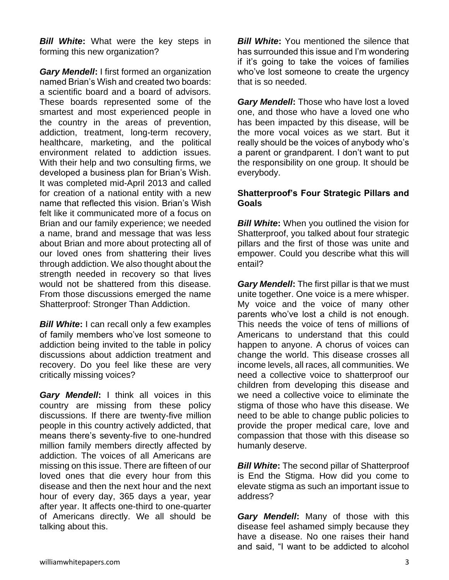*Bill White***:** What were the key steps in forming this new organization?

*Gary Mendell***:** I first formed an organization named Brian's Wish and created two boards: a scientific board and a board of advisors. These boards represented some of the smartest and most experienced people in the country in the areas of prevention, addiction, treatment, long-term recovery, healthcare, marketing, and the political environment related to addiction issues. With their help and two consulting firms, we developed a business plan for Brian's Wish. It was completed mid-April 2013 and called for creation of a national entity with a new name that reflected this vision. Brian's Wish felt like it communicated more of a focus on Brian and our family experience; we needed a name, brand and message that was less about Brian and more about protecting all of our loved ones from shattering their lives through addiction. We also thought about the strength needed in recovery so that lives would not be shattered from this disease. From those discussions emerged the name Shatterproof: Stronger Than Addiction.

*Bill White***:** I can recall only a few examples of family members who've lost someone to addiction being invited to the table in policy discussions about addiction treatment and recovery. Do you feel like these are very critically missing voices?

*Gary Mendell***:** I think all voices in this country are missing from these policy discussions. If there are twenty-five million people in this country actively addicted, that means there's seventy-five to one-hundred million family members directly affected by addiction. The voices of all Americans are missing on this issue. There are fifteen of our loved ones that die every hour from this disease and then the next hour and the next hour of every day, 365 days a year, year after year. It affects one-third to one-quarter of Americans directly. We all should be talking about this.

*Bill White:* You mentioned the silence that has surrounded this issue and I'm wondering if it's going to take the voices of families who've lost someone to create the urgency that is so needed.

*Gary Mendell***:** Those who have lost a loved one, and those who have a loved one who has been impacted by this disease, will be the more vocal voices as we start. But it really should be the voices of anybody who's a parent or grandparent. I don't want to put the responsibility on one group. It should be everybody.

#### **Shatterproof's Four Strategic Pillars and Goals**

*Bill White:* When you outlined the vision for Shatterproof, you talked about four strategic pillars and the first of those was unite and empower. Could you describe what this will entail?

*Gary Mendell***:** The first pillar is that we must unite together. One voice is a mere whisper. My voice and the voice of many other parents who've lost a child is not enough. This needs the voice of tens of millions of Americans to understand that this could happen to anyone. A chorus of voices can change the world. This disease crosses all income levels, all races, all communities. We need a collective voice to shatterproof our children from developing this disease and we need a collective voice to eliminate the stigma of those who have this disease. We need to be able to change public policies to provide the proper medical care, love and compassion that those with this disease so humanly deserve.

*Bill White***:** The second pillar of Shatterproof is End the Stigma. How did you come to elevate stigma as such an important issue to address?

*Gary Mendell***:** Many of those with this disease feel ashamed simply because they have a disease. No one raises their hand and said, "I want to be addicted to alcohol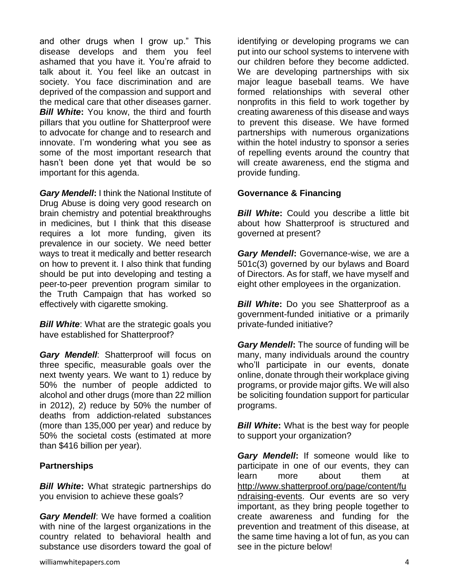and other drugs when I grow up." This disease develops and them you feel ashamed that you have it. You're afraid to talk about it. You feel like an outcast in society. You face discrimination and are deprived of the compassion and support and the medical care that other diseases garner. *Bill White***:** You know, the third and fourth pillars that you outline for Shatterproof were to advocate for change and to research and innovate. I'm wondering what you see as some of the most important research that hasn't been done yet that would be so important for this agenda.

*Gary Mendell***:** I think the National Institute of Drug Abuse is doing very good research on brain chemistry and potential breakthroughs in medicines, but I think that this disease requires a lot more funding, given its prevalence in our society. We need better ways to treat it medically and better research on how to prevent it. I also think that funding should be put into developing and testing a peer-to-peer prevention program similar to the Truth Campaign that has worked so effectively with cigarette smoking.

*Bill White:* What are the strategic goals you have established for Shatterproof?

*Gary Mendell*: Shatterproof will focus on three specific, measurable goals over the next twenty years. We want to 1) reduce by 50% the number of people addicted to alcohol and other drugs (more than 22 million in 2012), 2) reduce by 50% the number of deaths from addiction-related substances (more than 135,000 per year) and reduce by 50% the societal costs (estimated at more than \$416 billion per year).

#### **Partnerships**

*Bill White***:** What strategic partnerships do you envision to achieve these goals?

*Gary Mendell*: We have formed a coalition with nine of the largest organizations in the country related to behavioral health and substance use disorders toward the goal of identifying or developing programs we can put into our school systems to intervene with our children before they become addicted. We are developing partnerships with six major league baseball teams. We have formed relationships with several other nonprofits in this field to work together by creating awareness of this disease and ways to prevent this disease. We have formed partnerships with numerous organizations within the hotel industry to sponsor a series of repelling events around the country that will create awareness, end the stigma and provide funding.

#### **Governance & Financing**

**Bill White:** Could you describe a little bit about how Shatterproof is structured and governed at present?

*Gary Mendell***:** Governance-wise, we are a 501c(3) governed by our bylaws and Board of Directors. As for staff, we have myself and eight other employees in the organization.

*Bill White:* Do you see Shatterproof as a government-funded initiative or a primarily private-funded initiative?

*Gary Mendell***:** The source of funding will be many, many individuals around the country who'll participate in our events, donate online, donate through their workplace giving programs, or provide major gifts. We will also be soliciting foundation support for particular programs.

*Bill White:* What is the best way for people to support your organization?

*Gary Mendell***:** If someone would like to participate in one of our events, they can learn more about them at [http://www.shatterproof.org/page/content/fu](http://www.shatterproof.org/page/content/fundraising-events) [ndraising-events.](http://www.shatterproof.org/page/content/fundraising-events) Our events are so very important, as they bring people together to create awareness and funding for the prevention and treatment of this disease, at the same time having a lot of fun, as you can see in the picture below!